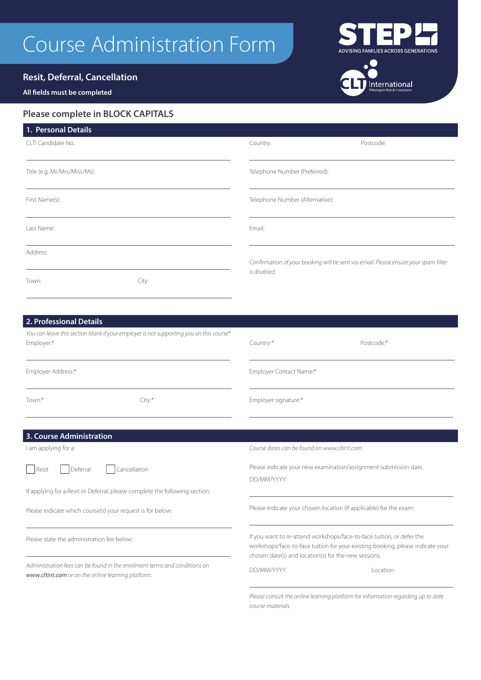# Course Administration Form

# **Resit, Deferral, Cancellation**

## **All fields must be completed**

# **Please complete in BLOCK CAPITALS**

| 1. Personal Details                                        |                                                                                         |                                                                                                                                                                                                                 |                                                                                  |
|------------------------------------------------------------|-----------------------------------------------------------------------------------------|-----------------------------------------------------------------------------------------------------------------------------------------------------------------------------------------------------------------|----------------------------------------------------------------------------------|
| CLTI Candidate No.:                                        |                                                                                         | Country:                                                                                                                                                                                                        | Postcode:                                                                        |
| Title (e.g. Mr/Mrs/Miss/Ms):                               |                                                                                         | Telephone Number (Preferred):                                                                                                                                                                                   |                                                                                  |
| First Name(s):                                             |                                                                                         | Telephone Number (Alternative):                                                                                                                                                                                 |                                                                                  |
| Last Name:                                                 |                                                                                         | Email:                                                                                                                                                                                                          |                                                                                  |
| Address:                                                   |                                                                                         | Confirmation of your booking will be sent via email. Please ensure your spam filter                                                                                                                             |                                                                                  |
| Town:                                                      | City:                                                                                   | is disabled.                                                                                                                                                                                                    |                                                                                  |
|                                                            |                                                                                         |                                                                                                                                                                                                                 |                                                                                  |
| 2. Professional Details                                    |                                                                                         |                                                                                                                                                                                                                 |                                                                                  |
| Employer:*                                                 | You can leave this section blank if your employer is not supporting you on this course* | Country:*                                                                                                                                                                                                       | Postcode:*                                                                       |
| Employer Address:*                                         |                                                                                         | Employer Contact Name:*                                                                                                                                                                                         |                                                                                  |
| Town:*                                                     | City:                                                                                   | Employer signature:*                                                                                                                                                                                            |                                                                                  |
| 3. Course Administration                                   |                                                                                         |                                                                                                                                                                                                                 |                                                                                  |
| I am applying for a:                                       |                                                                                         | Course dates can be found on www.cltint.com                                                                                                                                                                     |                                                                                  |
| Deferral<br>Resit                                          | Cancellation                                                                            |                                                                                                                                                                                                                 | Please indicate your new examination/assignment submission date.                 |
|                                                            | If applying for a Resit or Deferral, please complete the following section:             | DD/MM/YYYY:                                                                                                                                                                                                     |                                                                                  |
| Please indicate which course(s) your request is for below: |                                                                                         | Please indicate your chosen location (if applicable) for the exam:                                                                                                                                              |                                                                                  |
| Please state the administration fee below:                 |                                                                                         | If you want to re-attend workshops/face-to-face tuition, or defer the<br>workshops/face-to-face tuition for your existing booking, please indicate your<br>chosen date(s) and location(s) for the new sessions. |                                                                                  |
| www.cltint.com or on the online learning platform.         | Administration fees can be found in the enrolment terms and conditions on               | DD/MM/YYYY:                                                                                                                                                                                                     | Location:                                                                        |
|                                                            |                                                                                         |                                                                                                                                                                                                                 | Please consult the online learning platform for information regarding up to date |

*course materials.*

\_\_\_\_\_<br>ADVISING FAMILIES ACROSS GENERATIONS

International

 $\bullet$